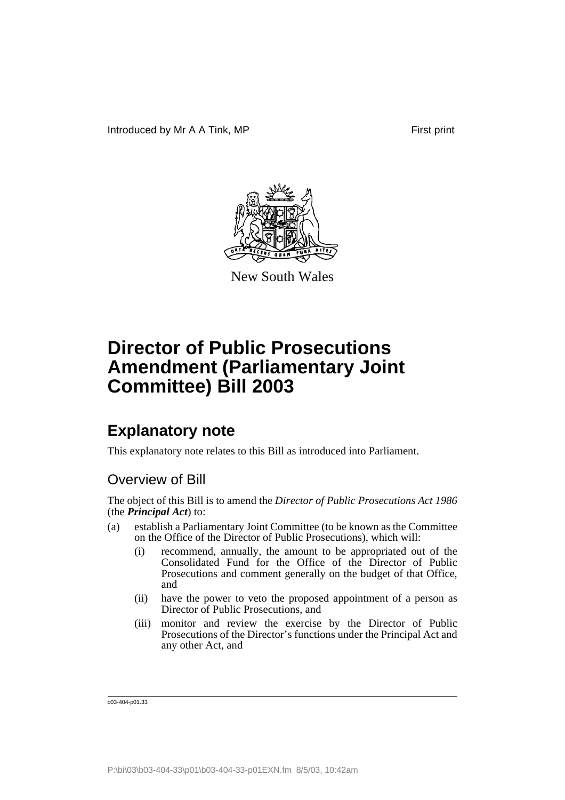

New South Wales

## **Explanatory note**

This explanatory note relates to this Bill as introduced into Parliament.

## Overview of Bill

The object of this Bill is to amend the *Director of Public Prosecutions Act 1986* (the *Principal Act*) to:

- (a) establish a Parliamentary Joint Committee (to be known as the Committee on the Office of the Director of Public Prosecutions), which will:
	- (i) recommend, annually, the amount to be appropriated out of the Consolidated Fund for the Office of the Director of Public Prosecutions and comment generally on the budget of that Office, and
	- (ii) have the power to veto the proposed appointment of a person as Director of Public Prosecutions, and
	- (iii) monitor and review the exercise by the Director of Public Prosecutions of the Director's functions under the Principal Act and any other Act, and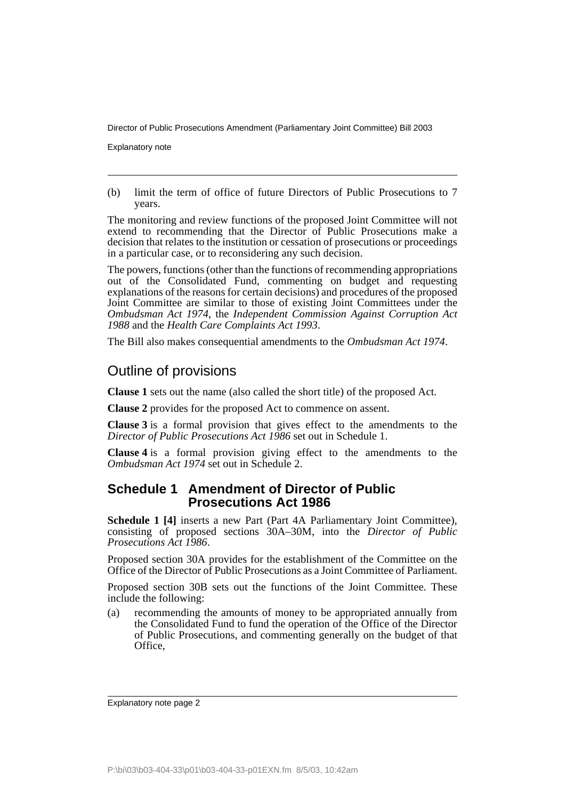Explanatory note

(b) limit the term of office of future Directors of Public Prosecutions to 7 years.

The monitoring and review functions of the proposed Joint Committee will not extend to recommending that the Director of Public Prosecutions make a decision that relates to the institution or cessation of prosecutions or proceedings in a particular case, or to reconsidering any such decision.

The powers, functions (other than the functions of recommending appropriations out of the Consolidated Fund, commenting on budget and requesting explanations of the reasons for certain decisions) and procedures of the proposed Joint Committee are similar to those of existing Joint Committees under the *Ombudsman Act 1974*, the *Independent Commission Against Corruption Act 1988* and the *Health Care Complaints Act 1993*.

The Bill also makes consequential amendments to the *Ombudsman Act 1974*.

### Outline of provisions

**Clause 1** sets out the name (also called the short title) of the proposed Act.

**Clause 2** provides for the proposed Act to commence on assent.

**Clause 3** is a formal provision that gives effect to the amendments to the *Director of Public Prosecutions Act 1986* set out in Schedule 1.

**Clause 4** is a formal provision giving effect to the amendments to the *Ombudsman Act 1974* set out in Schedule 2.

#### **Schedule 1 Amendment of Director of Public Prosecutions Act 1986**

**Schedule 1 [4]** inserts a new Part (Part 4A Parliamentary Joint Committee), consisting of proposed sections 30A–30M, into the *Director of Public Prosecutions Act 1986*.

Proposed section 30A provides for the establishment of the Committee on the Office of the Director of Public Prosecutions as a Joint Committee of Parliament.

Proposed section 30B sets out the functions of the Joint Committee. These include the following:

(a) recommending the amounts of money to be appropriated annually from the Consolidated Fund to fund the operation of the Office of the Director of Public Prosecutions, and commenting generally on the budget of that Office,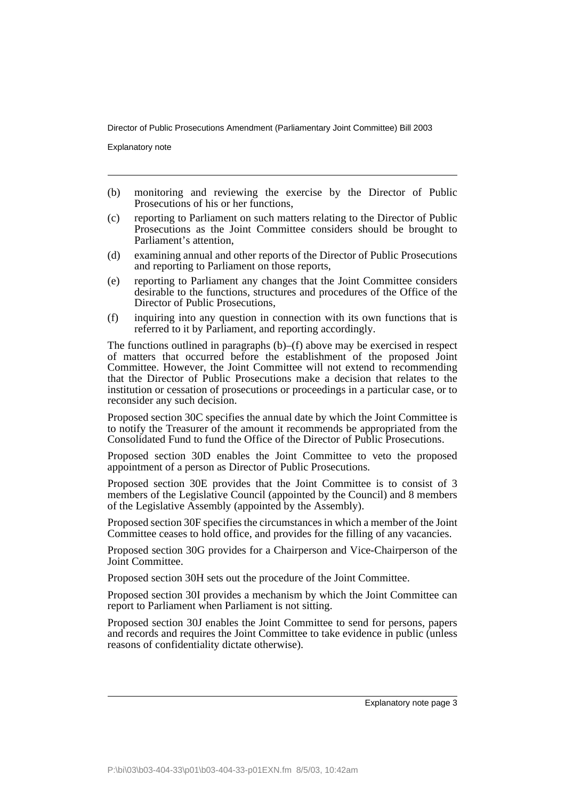Explanatory note

- (b) monitoring and reviewing the exercise by the Director of Public Prosecutions of his or her functions,
- (c) reporting to Parliament on such matters relating to the Director of Public Prosecutions as the Joint Committee considers should be brought to Parliament's attention,
- (d) examining annual and other reports of the Director of Public Prosecutions and reporting to Parliament on those reports,
- (e) reporting to Parliament any changes that the Joint Committee considers desirable to the functions, structures and procedures of the Office of the Director of Public Prosecutions,
- (f) inquiring into any question in connection with its own functions that is referred to it by Parliament, and reporting accordingly.

The functions outlined in paragraphs (b)–(f) above may be exercised in respect of matters that occurred before the establishment of the proposed Joint Committee. However, the Joint Committee will not extend to recommending that the Director of Public Prosecutions make a decision that relates to the institution or cessation of prosecutions or proceedings in a particular case, or to reconsider any such decision.

Proposed section 30C specifies the annual date by which the Joint Committee is to notify the Treasurer of the amount it recommends be appropriated from the Consolidated Fund to fund the Office of the Director of Public Prosecutions.

Proposed section 30D enables the Joint Committee to veto the proposed appointment of a person as Director of Public Prosecutions.

Proposed section 30E provides that the Joint Committee is to consist of 3 members of the Legislative Council (appointed by the Council) and 8 members of the Legislative Assembly (appointed by the Assembly).

Proposed section 30F specifies the circumstances in which a member of the Joint Committee ceases to hold office, and provides for the filling of any vacancies.

Proposed section 30G provides for a Chairperson and Vice-Chairperson of the Joint Committee.

Proposed section 30H sets out the procedure of the Joint Committee.

Proposed section 30I provides a mechanism by which the Joint Committee can report to Parliament when Parliament is not sitting.

Proposed section 30J enables the Joint Committee to send for persons, papers and records and requires the Joint Committee to take evidence in public (unless reasons of confidentiality dictate otherwise).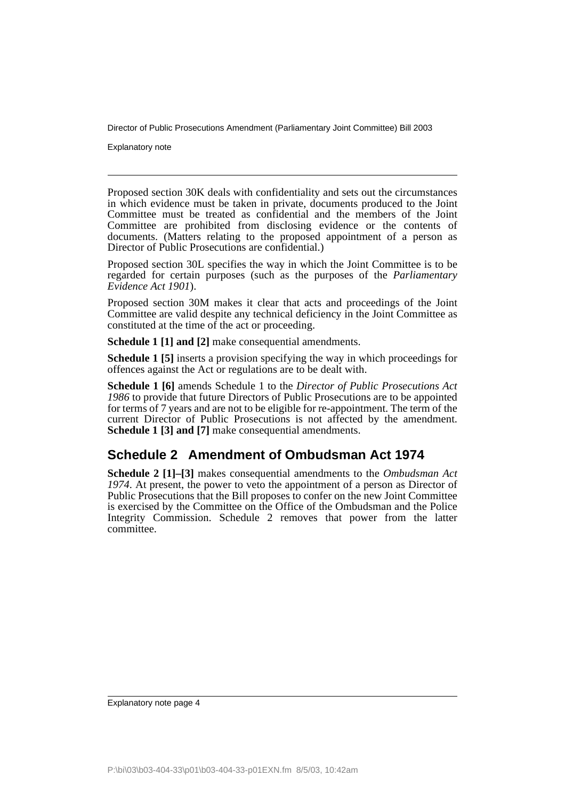Explanatory note

Proposed section 30K deals with confidentiality and sets out the circumstances in which evidence must be taken in private, documents produced to the Joint Committee must be treated as confidential and the members of the Joint Committee are prohibited from disclosing evidence or the contents of documents. (Matters relating to the proposed appointment of a person as Director of Public Prosecutions are confidential.)

Proposed section 30L specifies the way in which the Joint Committee is to be regarded for certain purposes (such as the purposes of the *Parliamentary Evidence Act 1901*).

Proposed section 30M makes it clear that acts and proceedings of the Joint Committee are valid despite any technical deficiency in the Joint Committee as constituted at the time of the act or proceeding.

**Schedule 1 [1] and [2]** make consequential amendments.

**Schedule 1 [5]** inserts a provision specifying the way in which proceedings for offences against the Act or regulations are to be dealt with.

**Schedule 1 [6]** amends Schedule 1 to the *Director of Public Prosecutions Act 1986* to provide that future Directors of Public Prosecutions are to be appointed for terms of 7 years and are not to be eligible for re-appointment. The term of the current Director of Public Prosecutions is not affected by the amendment. **Schedule 1 [3] and [7]** make consequential amendments.

#### **Schedule 2 Amendment of Ombudsman Act 1974**

**Schedule 2 [1]–[3]** makes consequential amendments to the *Ombudsman Act 1974*. At present, the power to veto the appointment of a person as Director of Public Prosecutions that the Bill proposes to confer on the new Joint Committee is exercised by the Committee on the Office of the Ombudsman and the Police Integrity Commission. Schedule 2 removes that power from the latter committee.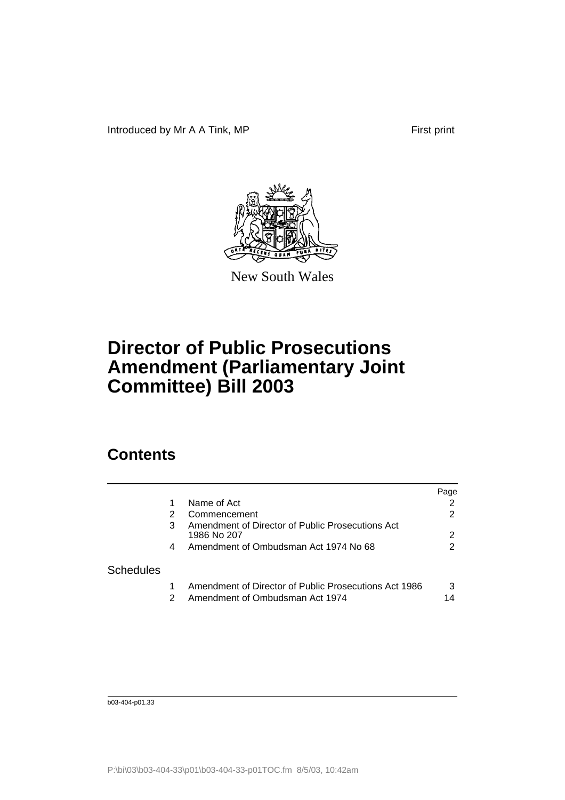Introduced by Mr A A Tink, MP First print



New South Wales

# **Director of Public Prosecutions Amendment (Parliamentary Joint Committee) Bill 2003**

## **Contents**

|                  |    |                                                                                          | Page |
|------------------|----|------------------------------------------------------------------------------------------|------|
|                  |    | Name of Act                                                                              |      |
|                  |    | Commencement                                                                             |      |
|                  |    | Amendment of Director of Public Prosecutions Act<br>1986 No 207                          |      |
|                  | 4  | Amendment of Ombudsman Act 1974 No 68                                                    |      |
| <b>Schedules</b> |    |                                                                                          |      |
|                  | 2. | Amendment of Director of Public Prosecutions Act 1986<br>Amendment of Ombudsman Act 1974 | 3    |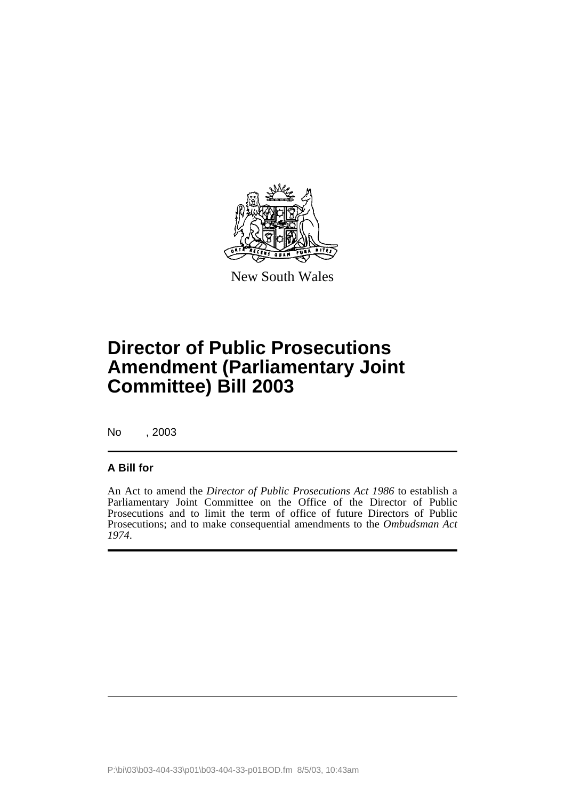

New South Wales

## **Director of Public Prosecutions Amendment (Parliamentary Joint Committee) Bill 2003**

No , 2003

#### **A Bill for**

An Act to amend the *Director of Public Prosecutions Act 1986* to establish a Parliamentary Joint Committee on the Office of the Director of Public Prosecutions and to limit the term of office of future Directors of Public Prosecutions; and to make consequential amendments to the *Ombudsman Act 1974*.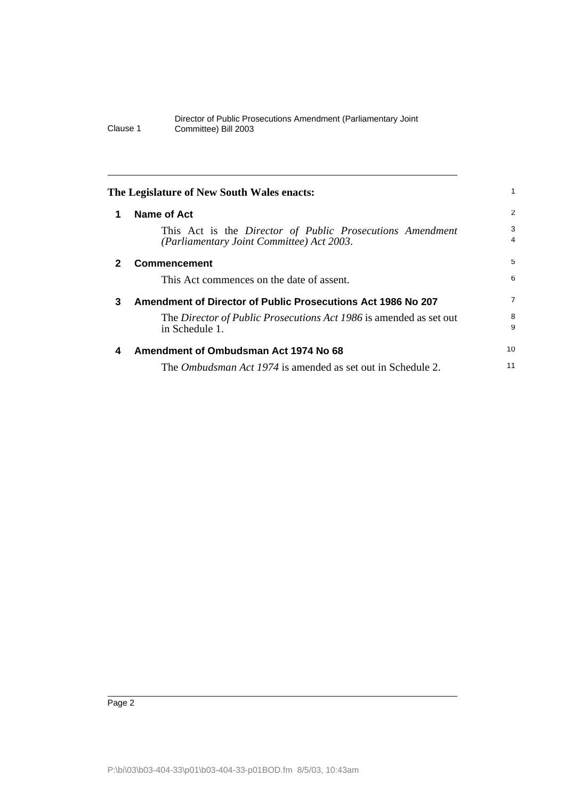<span id="page-7-3"></span><span id="page-7-2"></span><span id="page-7-1"></span><span id="page-7-0"></span>

|              | The Legislature of New South Wales enacts:                                                             |                |
|--------------|--------------------------------------------------------------------------------------------------------|----------------|
|              | Name of Act                                                                                            | $\overline{2}$ |
|              | This Act is the Director of Public Prosecutions Amendment<br>(Parliamentary Joint Committee) Act 2003. | 3<br>4         |
| $\mathbf{2}$ | <b>Commencement</b>                                                                                    | 5              |
|              | This Act commences on the date of assent.                                                              | 6              |
| 3            | Amendment of Director of Public Prosecutions Act 1986 No 207                                           | 7              |
|              | The Director of Public Prosecutions Act 1986 is amended as set out<br>in Schedule 1.                   | 8<br>9         |
| 4            | Amendment of Ombudsman Act 1974 No 68                                                                  | 10             |
|              | The <i>Ombudsman Act 1974</i> is amended as set out in Schedule 2.                                     | 11             |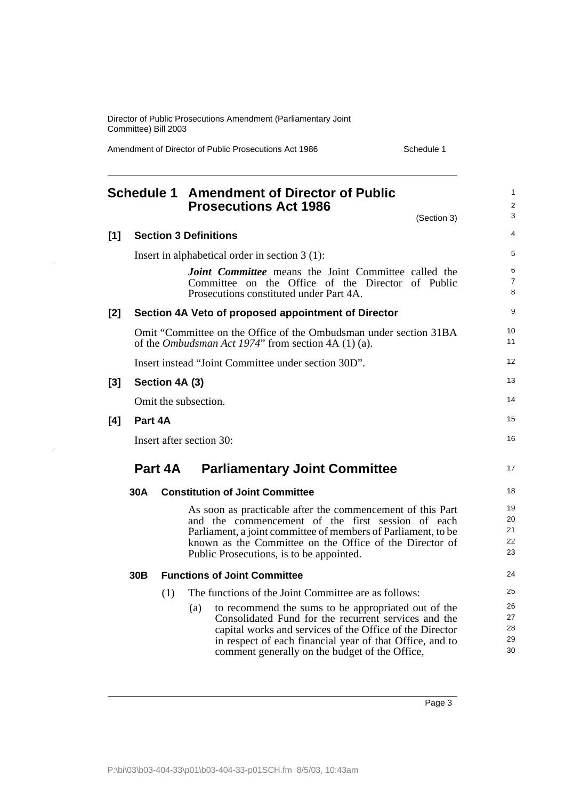Amendment of Director of Public Prosecutions Act 1986 Schedule 1

<span id="page-8-0"></span>

|       |                 | <b>Schedule 1 Amendment of Director of Public</b><br><b>Prosecutions Act 1986</b>                                                                                                                                                                                                            | $\mathbf{1}$<br>$\overline{2}$<br>3 |
|-------|-----------------|----------------------------------------------------------------------------------------------------------------------------------------------------------------------------------------------------------------------------------------------------------------------------------------------|-------------------------------------|
|       |                 | (Section 3)                                                                                                                                                                                                                                                                                  |                                     |
| [1]   |                 | <b>Section 3 Definitions</b>                                                                                                                                                                                                                                                                 | 4                                   |
|       |                 | Insert in alphabetical order in section $3(1)$ :                                                                                                                                                                                                                                             | 5                                   |
|       |                 | <b>Joint Committee</b> means the Joint Committee called the<br>Committee on the Office of the Director of Public<br>Prosecutions constituted under Part 4A.                                                                                                                                  | 6<br>$\overline{7}$<br>8            |
| [2]   |                 | Section 4A Veto of proposed appointment of Director                                                                                                                                                                                                                                          | 9                                   |
|       |                 | Omit "Committee on the Office of the Ombudsman under section 31BA<br>of the <i>Ombudsman Act 1974</i> " from section 4A (1) (a).                                                                                                                                                             | 10 <sup>1</sup><br>11               |
|       |                 | Insert instead "Joint Committee under section 30D".                                                                                                                                                                                                                                          | 12                                  |
| $[3]$ |                 | Section 4A (3)                                                                                                                                                                                                                                                                               | 13                                  |
|       |                 | Omit the subsection.                                                                                                                                                                                                                                                                         | 14                                  |
| [4]   | Part 4A         |                                                                                                                                                                                                                                                                                              | 15                                  |
|       |                 | Insert after section 30:                                                                                                                                                                                                                                                                     | 16                                  |
|       | Part 4A         | <b>Parliamentary Joint Committee</b>                                                                                                                                                                                                                                                         | 17                                  |
|       | 30A             | <b>Constitution of Joint Committee</b>                                                                                                                                                                                                                                                       | 18                                  |
|       |                 | As soon as practicable after the commencement of this Part<br>and the commencement of the first session of each<br>Parliament, a joint committee of members of Parliament, to be<br>known as the Committee on the Office of the Director of<br>Public Prosecutions, is to be appointed.      | 19<br>20<br>21<br>22<br>23          |
|       | 30 <sub>B</sub> | <b>Functions of Joint Committee</b>                                                                                                                                                                                                                                                          | 24                                  |
|       |                 | The functions of the Joint Committee are as follows:<br>(1)                                                                                                                                                                                                                                  | 25                                  |
|       |                 | to recommend the sums to be appropriated out of the<br>(a)<br>Consolidated Fund for the recurrent services and the<br>capital works and services of the Office of the Director<br>in respect of each financial year of that Office, and to<br>comment generally on the budget of the Office, | 26<br>27<br>28<br>29<br>30          |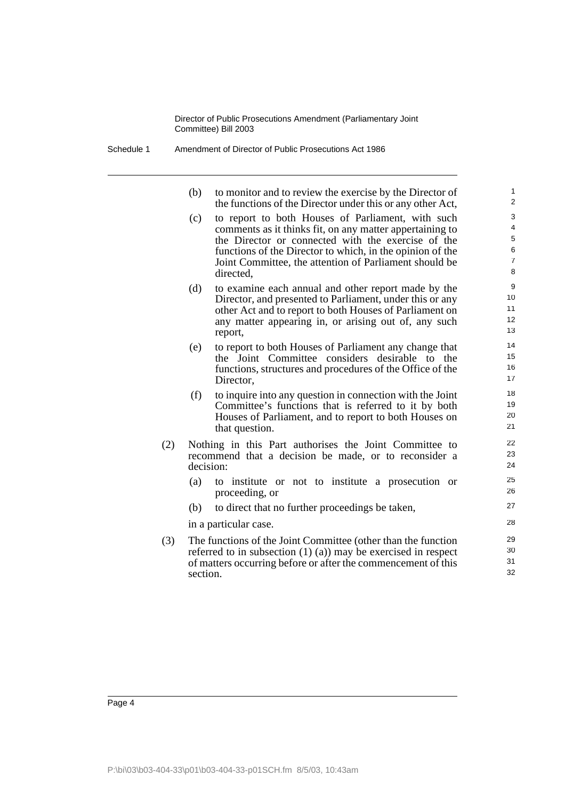Schedule 1 Amendment of Director of Public Prosecutions Act 1986

| (b) | to monitor and to review the exercise by the Director of   |
|-----|------------------------------------------------------------|
|     | the functions of the Director under this or any other Act, |

- (c) to report to both Houses of Parliament, with such comments as it thinks fit, on any matter appertaining to the Director or connected with the exercise of the functions of the Director to which, in the opinion of the Joint Committee, the attention of Parliament should be directed,
- (d) to examine each annual and other report made by the Director, and presented to Parliament, under this or any other Act and to report to both Houses of Parliament on any matter appearing in, or arising out of, any such report,
- (e) to report to both Houses of Parliament any change that the Joint Committee considers desirable to the functions, structures and procedures of the Office of the Director,
- (f) to inquire into any question in connection with the Joint Committee's functions that is referred to it by both Houses of Parliament, and to report to both Houses on that question.
- (2) Nothing in this Part authorises the Joint Committee to recommend that a decision be made, or to reconsider a decision:
	- (a) to institute or not to institute a prosecution or proceeding, or
	- (b) to direct that no further proceedings be taken,

in a particular case.

(3) The functions of the Joint Committee (other than the function referred to in subsection (1) (a)) may be exercised in respect of matters occurring before or after the commencement of this section.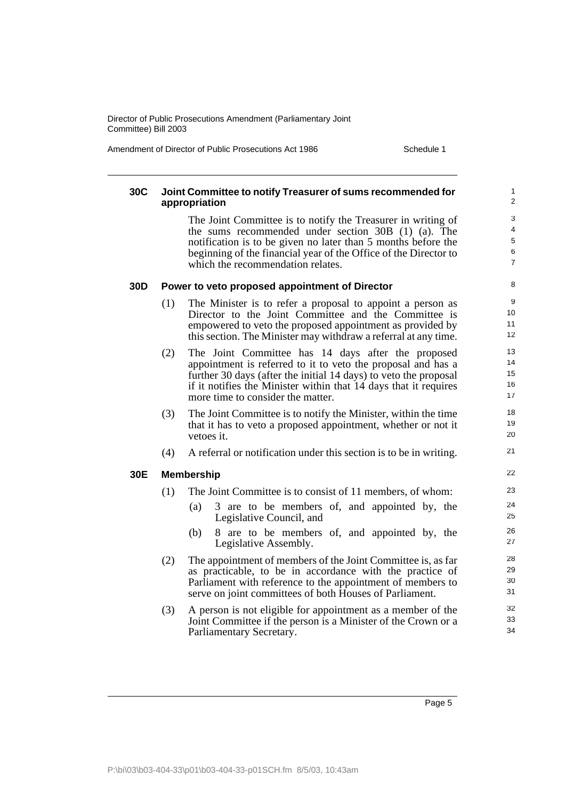Amendment of Director of Public Prosecutions Act 1986 Schedule 1

#### **30C Joint Committee to notify Treasurer of sums recommended for appropriation** The Joint Committee is to notify the Treasurer in writing of the sums recommended under section 30B (1) (a). The notification is to be given no later than 5 months before the beginning of the financial year of the Office of the Director to which the recommendation relates. **30D Power to veto proposed appointment of Director** (1) The Minister is to refer a proposal to appoint a person as Director to the Joint Committee and the Committee is empowered to veto the proposed appointment as provided by this section. The Minister may withdraw a referral at any time. (2) The Joint Committee has 14 days after the proposed appointment is referred to it to veto the proposal and has a further 30 days (after the initial 14 days) to veto the proposal if it notifies the Minister within that 14 days that it requires more time to consider the matter. (3) The Joint Committee is to notify the Minister, within the time that it has to veto a proposed appointment, whether or not it vetoes it. (4) A referral or notification under this section is to be in writing. **30E Membership** (1) The Joint Committee is to consist of 11 members, of whom: (a) 3 are to be members of, and appointed by, the Legislative Council, and (b) 8 are to be members of, and appointed by, the Legislative Assembly. (2) The appointment of members of the Joint Committee is, as far as practicable, to be in accordance with the practice of Parliament with reference to the appointment of members to serve on joint committees of both Houses of Parliament. (3) A person is not eligible for appointment as a member of the Joint Committee if the person is a Minister of the Crown or a Parliamentary Secretary. 1  $\overline{2}$  $\overline{3}$ 4 5 6 7 8 9 10 11 12 13 14 15 16 17 18 19 20 21 22 23 24 25 26 27 28 29 30 31 32 33 34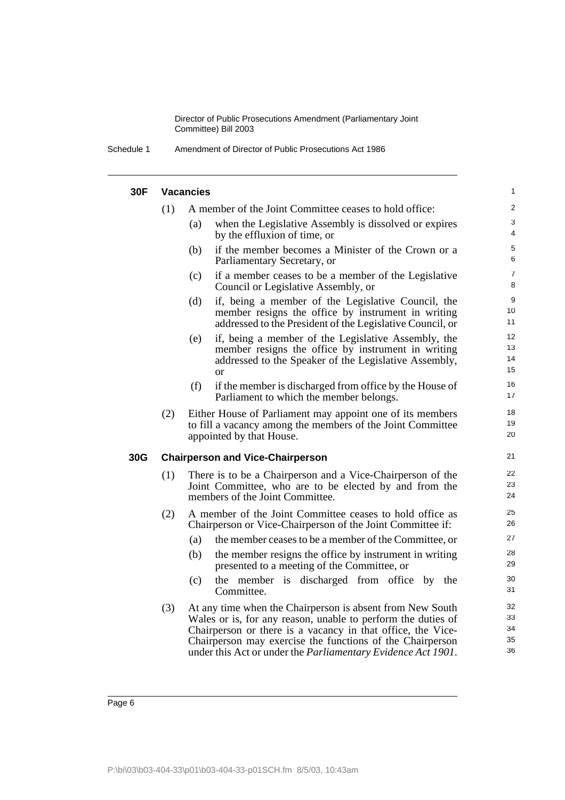| Schedule 1 | Amendment of Director of Public Prosecutions Act 1986 |
|------------|-------------------------------------------------------|
|------------|-------------------------------------------------------|

|     | <b>Vacancies</b> |                                                                                                                                                                                     | $\mathbf{1}$         |
|-----|------------------|-------------------------------------------------------------------------------------------------------------------------------------------------------------------------------------|----------------------|
|     | (1)              | A member of the Joint Committee ceases to hold office:                                                                                                                              | $\overline{2}$       |
|     | (a)              | when the Legislative Assembly is dissolved or expires<br>by the effluxion of time, or                                                                                               | 3<br>4               |
|     | (b)              | if the member becomes a Minister of the Crown or a<br>Parliamentary Secretary, or                                                                                                   | 5<br>6               |
|     | (c)              | if a member ceases to be a member of the Legislative<br>Council or Legislative Assembly, or                                                                                         | $\overline{7}$<br>8  |
|     | (d)              | if, being a member of the Legislative Council, the<br>member resigns the office by instrument in writing<br>addressed to the President of the Legislative Council, or               | 9<br>10<br>11        |
|     | (e)              | if, being a member of the Legislative Assembly, the<br>member resigns the office by instrument in writing<br>addressed to the Speaker of the Legislative Assembly,<br><sub>or</sub> | 12<br>13<br>14<br>15 |
|     | (f)              | if the member is discharged from office by the House of<br>Parliament to which the member belongs.                                                                                  | 16<br>17             |
|     | (2)              | Either House of Parliament may appoint one of its members<br>to fill a vacancy among the members of the Joint Committee<br>appointed by that House.                                 | 18<br>19<br>20       |
| 30G |                  | <b>Chairperson and Vice-Chairperson</b>                                                                                                                                             | 21                   |
|     | (1)              | There is to be a Chairperson and a Vice-Chairperson of the                                                                                                                          | 22                   |
|     |                  | Joint Committee, who are to be elected by and from the<br>members of the Joint Committee.                                                                                           | 23<br>24             |
|     | (2)              | A member of the Joint Committee ceases to hold office as<br>Chairperson or Vice-Chairperson of the Joint Committee if:                                                              | 25<br>26             |
|     | (a)              | the member ceases to be a member of the Committee, or                                                                                                                               |                      |
|     | (b)              | the member resigns the office by instrument in writing<br>presented to a meeting of the Committee, or                                                                               | 27<br>28<br>29       |
|     | (c)              | the member is discharged from office by the<br>Committee.                                                                                                                           | 30<br>31             |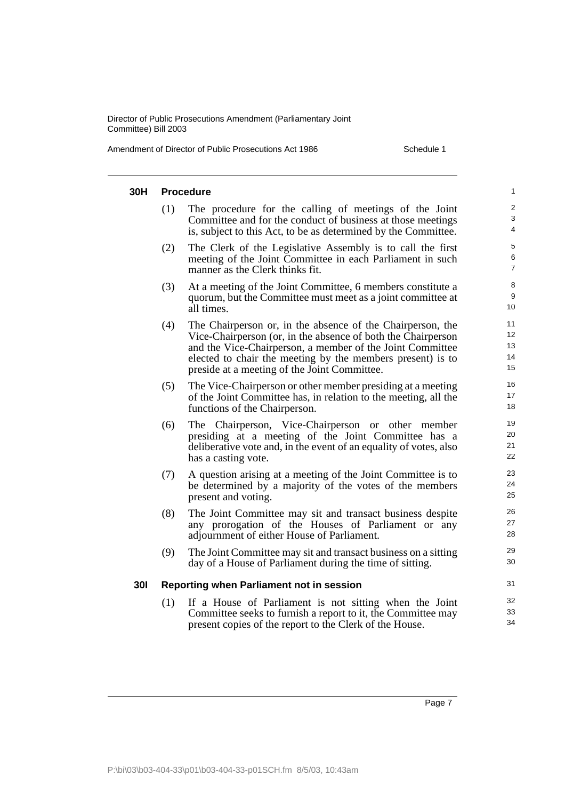Amendment of Director of Public Prosecutions Act 1986 Schedule 1

| 30H        |     | <b>Procedure</b>                                                                                                                                                                                                                                                                                      | $\mathbf{1}$                      |
|------------|-----|-------------------------------------------------------------------------------------------------------------------------------------------------------------------------------------------------------------------------------------------------------------------------------------------------------|-----------------------------------|
|            | (1) | The procedure for the calling of meetings of the Joint<br>Committee and for the conduct of business at those meetings<br>is, subject to this Act, to be as determined by the Committee.                                                                                                               | 2<br>3<br>$\overline{\mathbf{4}}$ |
|            | (2) | The Clerk of the Legislative Assembly is to call the first<br>meeting of the Joint Committee in each Parliament in such<br>manner as the Clerk thinks fit.                                                                                                                                            | 5<br>6<br>$\overline{7}$          |
|            | (3) | At a meeting of the Joint Committee, 6 members constitute a<br>quorum, but the Committee must meet as a joint committee at<br>all times.                                                                                                                                                              | 8<br>9<br>10                      |
|            | (4) | The Chairperson or, in the absence of the Chairperson, the<br>Vice-Chairperson (or, in the absence of both the Chairperson<br>and the Vice-Chairperson, a member of the Joint Committee<br>elected to chair the meeting by the members present) is to<br>preside at a meeting of the Joint Committee. | 11<br>12<br>13<br>14<br>15        |
|            | (5) | The Vice-Chairperson or other member presiding at a meeting<br>of the Joint Committee has, in relation to the meeting, all the<br>functions of the Chairperson.                                                                                                                                       | 16<br>17<br>18                    |
|            | (6) | The Chairperson, Vice-Chairperson or other member<br>presiding at a meeting of the Joint Committee has a<br>deliberative vote and, in the event of an equality of votes, also<br>has a casting vote.                                                                                                  | 19<br>20<br>21<br>22              |
|            | (7) | A question arising at a meeting of the Joint Committee is to<br>be determined by a majority of the votes of the members<br>present and voting.                                                                                                                                                        | 23<br>24<br>25                    |
|            | (8) | The Joint Committee may sit and transact business despite<br>any prorogation of the Houses of Parliament or any<br>adjournment of either House of Parliament.                                                                                                                                         | 26<br>27<br>28                    |
|            | (9) | The Joint Committee may sit and transact business on a sitting<br>day of a House of Parliament during the time of sitting.                                                                                                                                                                            | 29<br>30                          |
| <b>301</b> |     | <b>Reporting when Parliament not in session</b>                                                                                                                                                                                                                                                       | 31                                |
|            | (1) | If a House of Parliament is not sitting when the Joint<br>Committee seeks to furnish a report to it, the Committee may<br>present copies of the report to the Clerk of the House.                                                                                                                     | 32<br>33<br>34                    |
|            |     |                                                                                                                                                                                                                                                                                                       |                                   |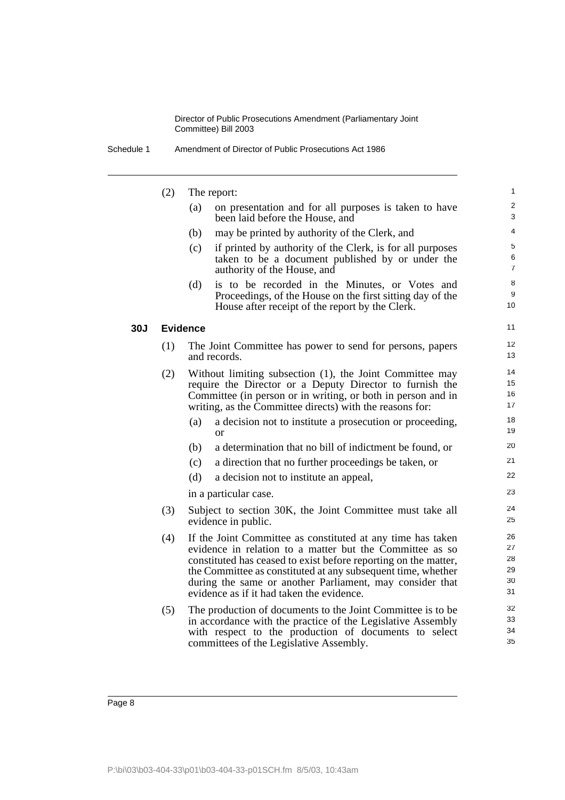| Schedule 1 | Amendment of Director of Public Prosecutions Act 1986 |
|------------|-------------------------------------------------------|
|------------|-------------------------------------------------------|

|            | (2) |                 | The report:                                                                                                                                                                                                                                                                                                                                                         | 1                                |
|------------|-----|-----------------|---------------------------------------------------------------------------------------------------------------------------------------------------------------------------------------------------------------------------------------------------------------------------------------------------------------------------------------------------------------------|----------------------------------|
|            |     | (a)             | on presentation and for all purposes is taken to have<br>been laid before the House, and                                                                                                                                                                                                                                                                            | $\overline{\mathbf{c}}$<br>3     |
|            |     | (b)             | may be printed by authority of the Clerk, and                                                                                                                                                                                                                                                                                                                       | 4                                |
|            |     | (c)             | if printed by authority of the Clerk, is for all purposes<br>taken to be a document published by or under the<br>authority of the House, and                                                                                                                                                                                                                        | 5<br>6<br>7                      |
|            |     | (d)             | is to be recorded in the Minutes, or Votes and<br>Proceedings, of the House on the first sitting day of the<br>House after receipt of the report by the Clerk.                                                                                                                                                                                                      | 8<br>9<br>10                     |
| <b>30J</b> |     | <b>Evidence</b> |                                                                                                                                                                                                                                                                                                                                                                     | 11                               |
|            | (1) |                 | The Joint Committee has power to send for persons, papers<br>and records.                                                                                                                                                                                                                                                                                           | 12<br>13                         |
|            | (2) |                 | Without limiting subsection (1), the Joint Committee may<br>require the Director or a Deputy Director to furnish the<br>Committee (in person or in writing, or both in person and in<br>writing, as the Committee directs) with the reasons for:                                                                                                                    | 14<br>15<br>16<br>17             |
|            |     | (a)             | a decision not to institute a prosecution or proceeding,<br><sub>or</sub>                                                                                                                                                                                                                                                                                           | 18<br>19                         |
|            |     | (b)             | a determination that no bill of indictment be found, or                                                                                                                                                                                                                                                                                                             | 20                               |
|            |     | (c)             | a direction that no further proceedings be taken, or                                                                                                                                                                                                                                                                                                                | 21                               |
|            |     | (d)             | a decision not to institute an appeal,                                                                                                                                                                                                                                                                                                                              | 22                               |
|            |     |                 | in a particular case.                                                                                                                                                                                                                                                                                                                                               | 23                               |
|            | (3) |                 | Subject to section 30K, the Joint Committee must take all<br>evidence in public.                                                                                                                                                                                                                                                                                    | 24<br>25                         |
|            | (4) |                 | If the Joint Committee as constituted at any time has taken<br>evidence in relation to a matter but the Committee as so<br>constituted has ceased to exist before reporting on the matter,<br>the Committee as constituted at any subsequent time, whether<br>during the same or another Parliament, may consider that<br>evidence as if it had taken the evidence. | 26<br>27<br>28<br>29<br>30<br>31 |
|            | (5) |                 | The production of documents to the Joint Committee is to be.<br>in accordance with the practice of the Legislative Assembly<br>with respect to the production of documents to select<br>committees of the Legislative Assembly.                                                                                                                                     | 32<br>33<br>34<br>35             |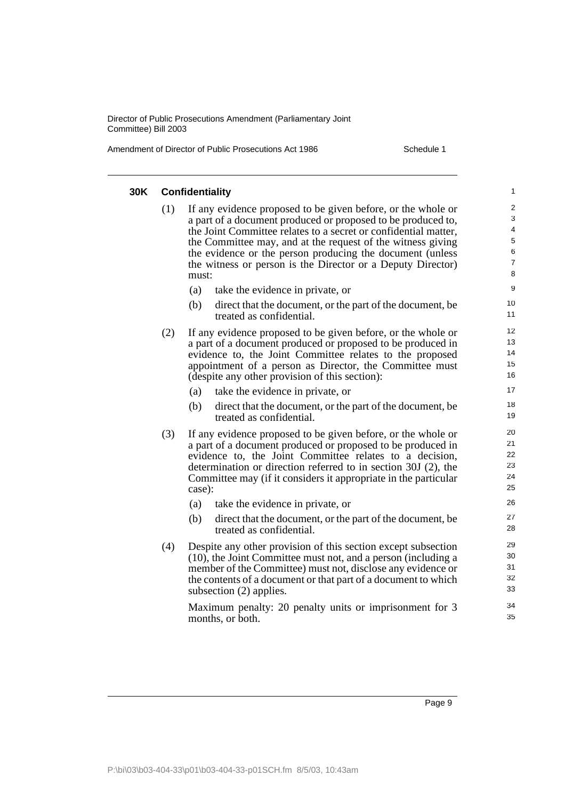Amendment of Director of Public Prosecutions Act 1986 Schedule 1

| 30K | <b>Confidentiality</b><br>$\mathbf{1}$ |                                                                                                                                                                                                                                                                                                                                                                                                     |                                                                    |  |  |  |
|-----|----------------------------------------|-----------------------------------------------------------------------------------------------------------------------------------------------------------------------------------------------------------------------------------------------------------------------------------------------------------------------------------------------------------------------------------------------------|--------------------------------------------------------------------|--|--|--|
|     | (1)                                    | If any evidence proposed to be given before, or the whole or<br>a part of a document produced or proposed to be produced to,<br>the Joint Committee relates to a secret or confidential matter,<br>the Committee may, and at the request of the witness giving<br>the evidence or the person producing the document (unless<br>the witness or person is the Director or a Deputy Director)<br>must: | $\overline{\mathbf{c}}$<br>3<br>4<br>5<br>6<br>$\overline{7}$<br>8 |  |  |  |
|     |                                        | (a)<br>take the evidence in private, or                                                                                                                                                                                                                                                                                                                                                             | 9                                                                  |  |  |  |
|     |                                        | (b)<br>direct that the document, or the part of the document, be<br>treated as confidential.                                                                                                                                                                                                                                                                                                        | 10<br>11                                                           |  |  |  |
|     | (2)                                    | If any evidence proposed to be given before, or the whole or<br>a part of a document produced or proposed to be produced in<br>evidence to, the Joint Committee relates to the proposed<br>appointment of a person as Director, the Committee must<br>(despite any other provision of this section):                                                                                                | 12<br>13<br>14<br>15<br>16                                         |  |  |  |
|     |                                        | take the evidence in private, or<br>(a)                                                                                                                                                                                                                                                                                                                                                             | 17                                                                 |  |  |  |
|     |                                        | (b)<br>direct that the document, or the part of the document, be<br>treated as confidential.                                                                                                                                                                                                                                                                                                        | 18<br>19                                                           |  |  |  |
|     | (3)                                    | If any evidence proposed to be given before, or the whole or<br>a part of a document produced or proposed to be produced in<br>evidence to, the Joint Committee relates to a decision,<br>determination or direction referred to in section 30J (2), the<br>Committee may (if it considers it appropriate in the particular<br>case):                                                               | 20<br>21<br>22<br>23<br>24<br>25                                   |  |  |  |
|     |                                        | (a)<br>take the evidence in private, or                                                                                                                                                                                                                                                                                                                                                             | 26                                                                 |  |  |  |
|     |                                        | (b)<br>direct that the document, or the part of the document, be<br>treated as confidential.                                                                                                                                                                                                                                                                                                        | 27<br>28                                                           |  |  |  |
|     | (4)                                    | Despite any other provision of this section except subsection<br>(10), the Joint Committee must not, and a person (including a<br>member of the Committee) must not, disclose any evidence or<br>the contents of a document or that part of a document to which<br>subsection (2) applies.                                                                                                          | 29<br>30<br>31<br>32<br>33<br>34                                   |  |  |  |
|     |                                        | Maximum penalty: 20 penalty units or imprisonment for 3<br>months, or both.                                                                                                                                                                                                                                                                                                                         | 35                                                                 |  |  |  |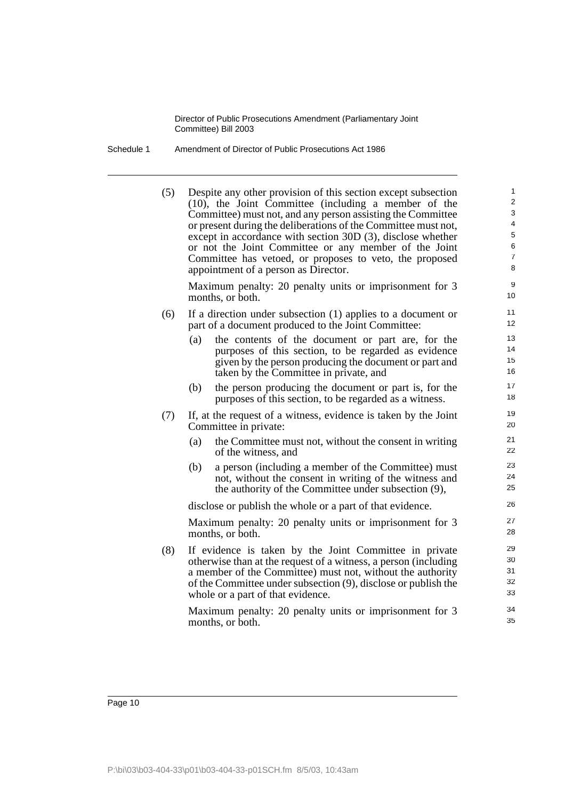Schedule 1 Amendment of Director of Public Prosecutions Act 1986

(5) Despite any other provision of this section except subsection (10), the Joint Committee (including a member of the Committee) must not, and any person assisting the Committee or present during the deliberations of the Committee must not, except in accordance with section 30D (3), disclose whether or not the Joint Committee or any member of the Joint Committee has vetoed, or proposes to veto, the proposed appointment of a person as Director.

Maximum penalty: 20 penalty units or imprisonment for 3 months, or both.

- (6) If a direction under subsection (1) applies to a document or part of a document produced to the Joint Committee:
	- (a) the contents of the document or part are, for the purposes of this section, to be regarded as evidence given by the person producing the document or part and taken by the Committee in private, and
	- (b) the person producing the document or part is, for the purposes of this section, to be regarded as a witness.
- (7) If, at the request of a witness, evidence is taken by the Joint Committee in private:
	- (a) the Committee must not, without the consent in writing of the witness, and
	- (b) a person (including a member of the Committee) must not, without the consent in writing of the witness and the authority of the Committee under subsection (9),

disclose or publish the whole or a part of that evidence.

Maximum penalty: 20 penalty units or imprisonment for 3 months, or both.

(8) If evidence is taken by the Joint Committee in private otherwise than at the request of a witness, a person (including a member of the Committee) must not, without the authority of the Committee under subsection (9), disclose or publish the whole or a part of that evidence.

Maximum penalty: 20 penalty units or imprisonment for 3 months, or both.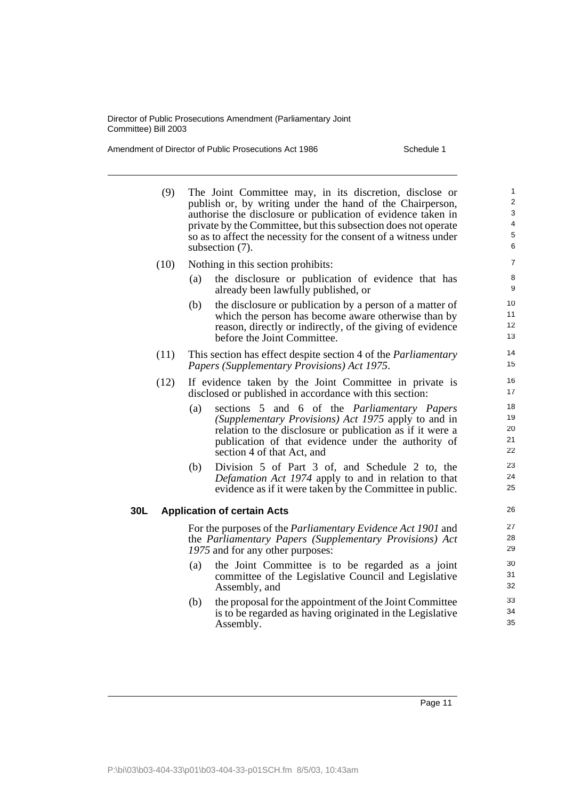Amendment of Director of Public Prosecutions Act 1986 Schedule 1

30L

| (9)  | The Joint Committee may, in its discretion, disclose or<br>publish or, by writing under the hand of the Chairperson,<br>authorise the disclosure or publication of evidence taken in<br>private by the Committee, but this subsection does not operate<br>so as to affect the necessity for the consent of a witness under<br>subsection (7). |                                                                                                                                                                                                                                                       |                            |
|------|-----------------------------------------------------------------------------------------------------------------------------------------------------------------------------------------------------------------------------------------------------------------------------------------------------------------------------------------------|-------------------------------------------------------------------------------------------------------------------------------------------------------------------------------------------------------------------------------------------------------|----------------------------|
| (10) |                                                                                                                                                                                                                                                                                                                                               | Nothing in this section prohibits:                                                                                                                                                                                                                    | $\overline{7}$             |
|      | (a)                                                                                                                                                                                                                                                                                                                                           | the disclosure or publication of evidence that has<br>already been lawfully published, or                                                                                                                                                             | 8<br>9                     |
|      | (b)                                                                                                                                                                                                                                                                                                                                           | the disclosure or publication by a person of a matter of<br>which the person has become aware otherwise than by<br>reason, directly or indirectly, of the giving of evidence<br>before the Joint Committee.                                           | 10<br>11<br>12<br>13       |
| (11) |                                                                                                                                                                                                                                                                                                                                               | This section has effect despite section 4 of the <i>Parliamentary</i><br>Papers (Supplementary Provisions) Act 1975.                                                                                                                                  | 14<br>15                   |
| (12) |                                                                                                                                                                                                                                                                                                                                               | If evidence taken by the Joint Committee in private is<br>disclosed or published in accordance with this section:                                                                                                                                     | 16<br>17                   |
|      | (a)                                                                                                                                                                                                                                                                                                                                           | sections 5 and 6 of the Parliamentary Papers<br>(Supplementary Provisions) Act 1975 apply to and in<br>relation to the disclosure or publication as if it were a<br>publication of that evidence under the authority of<br>section 4 of that Act, and | 18<br>19<br>20<br>21<br>22 |
|      | (b)                                                                                                                                                                                                                                                                                                                                           | Division 5 of Part 3 of, and Schedule 2 to, the<br>Defamation Act 1974 apply to and in relation to that<br>evidence as if it were taken by the Committee in public.                                                                                   | 23<br>24<br>25             |
|      |                                                                                                                                                                                                                                                                                                                                               | <b>Application of certain Acts</b>                                                                                                                                                                                                                    | 26                         |
|      |                                                                                                                                                                                                                                                                                                                                               | For the purposes of the <i>Parliamentary Evidence Act 1901</i> and<br>the Parliamentary Papers (Supplementary Provisions) Act<br>1975 and for any other purposes:                                                                                     | 27<br>28<br>29             |
|      | (a)                                                                                                                                                                                                                                                                                                                                           | the Joint Committee is to be regarded as a joint<br>committee of the Legislative Council and Legislative<br>Assembly, and                                                                                                                             | 30<br>31<br>32             |
|      | (b)                                                                                                                                                                                                                                                                                                                                           | the proposal for the appointment of the Joint Committee<br>is to be regarded as having originated in the Legislative<br>Assembly.                                                                                                                     | 33<br>34<br>35             |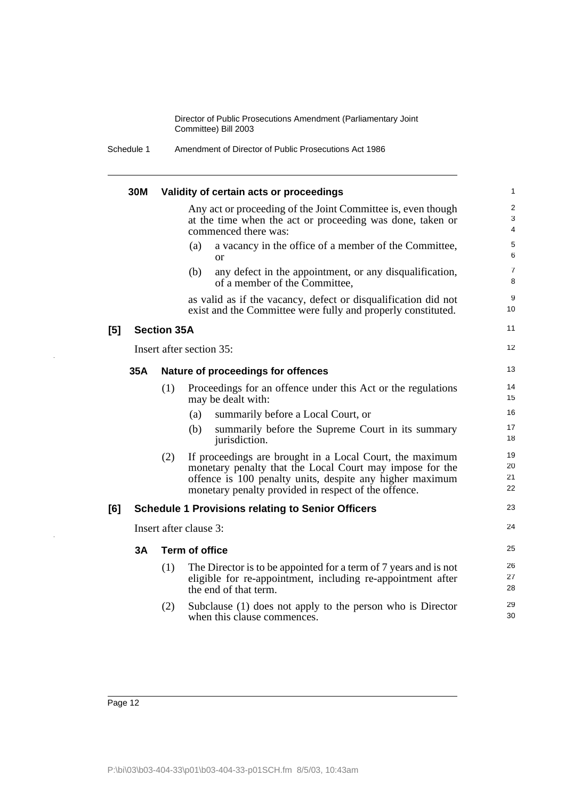Schedule 1 Amendment of Director of Public Prosecutions Act 1986

|     | 30M |                    | Validity of certain acts or proceedings                                                                                                                                                                                                  | 1                                 |
|-----|-----|--------------------|------------------------------------------------------------------------------------------------------------------------------------------------------------------------------------------------------------------------------------------|-----------------------------------|
|     |     |                    | Any act or proceeding of the Joint Committee is, even though<br>at the time when the act or proceeding was done, taken or<br>commenced there was:                                                                                        | $\overline{\mathbf{c}}$<br>3<br>4 |
|     |     |                    | a vacancy in the office of a member of the Committee,<br>(a)<br><sub>or</sub>                                                                                                                                                            | 5<br>6                            |
|     |     |                    | (b)<br>any defect in the appointment, or any disqualification,<br>of a member of the Committee,                                                                                                                                          | 7<br>8                            |
|     |     |                    | as valid as if the vacancy, defect or disqualification did not<br>exist and the Committee were fully and properly constituted.                                                                                                           | 9<br>10                           |
| [5] |     | <b>Section 35A</b> |                                                                                                                                                                                                                                          | 11                                |
|     |     |                    | Insert after section 35:                                                                                                                                                                                                                 | 12                                |
|     | 35A |                    | Nature of proceedings for offences                                                                                                                                                                                                       | 13                                |
|     |     | (1)                | Proceedings for an offence under this Act or the regulations<br>may be dealt with:                                                                                                                                                       | 14<br>15                          |
|     |     |                    | summarily before a Local Court, or<br>(a)                                                                                                                                                                                                | 16                                |
|     |     |                    | (b)<br>summarily before the Supreme Court in its summary<br>jurisdiction.                                                                                                                                                                | 17<br>18                          |
|     |     | (2)                | If proceedings are brought in a Local Court, the maximum<br>monetary penalty that the Local Court may impose for the<br>offence is 100 penalty units, despite any higher maximum<br>monetary penalty provided in respect of the offence. | 19<br>20<br>21<br>22              |
| [6] |     |                    | <b>Schedule 1 Provisions relating to Senior Officers</b>                                                                                                                                                                                 | 23                                |
|     |     |                    | Insert after clause 3:                                                                                                                                                                                                                   | 24                                |
|     | 3A  |                    | <b>Term of office</b>                                                                                                                                                                                                                    | 25                                |
|     |     | (1)                | The Director is to be appointed for a term of 7 years and is not<br>eligible for re-appointment, including re-appointment after<br>the end of that term.                                                                                 | 26<br>27<br>28                    |
|     |     | (2)                | Subclause (1) does not apply to the person who is Director<br>when this clause commences.                                                                                                                                                | 29<br>30                          |

J.

J.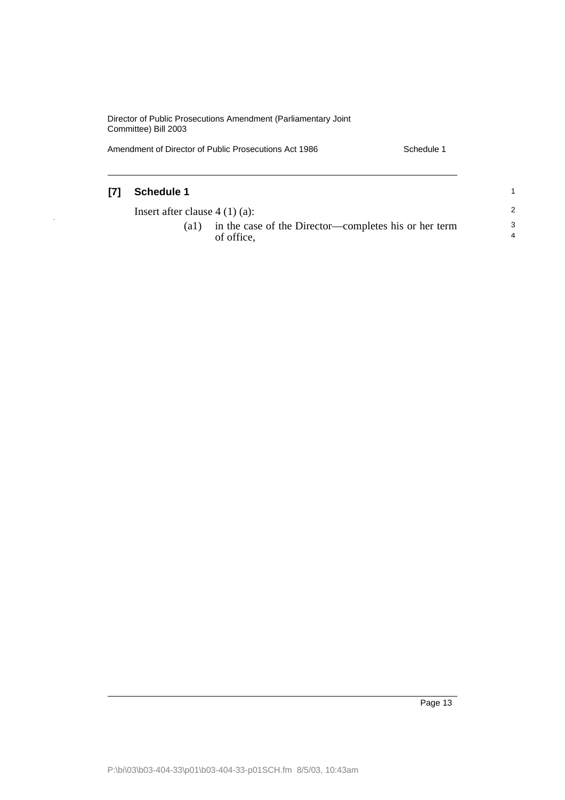Amendment of Director of Public Prosecutions Act 1986 Schedule 1

J,

| [7] | <b>Schedule 1</b>               |                                                                     |                             |
|-----|---------------------------------|---------------------------------------------------------------------|-----------------------------|
|     | Insert after clause $4(1)(a)$ : |                                                                     | 2                           |
|     | (al)                            | in the case of the Director—completes his or her term<br>of office. | -3<br>$\boldsymbol{\Delta}$ |